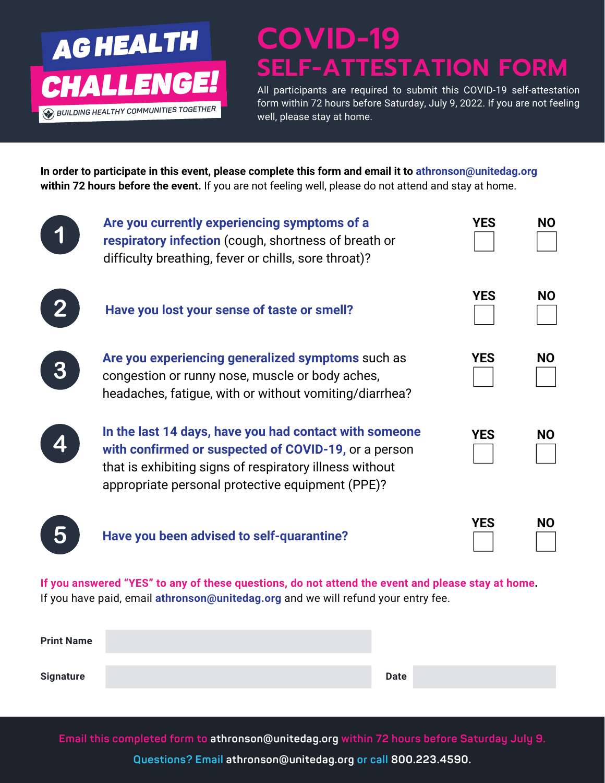

## **COVID-19 SELF-ATTESTATION FORM**

All participants are required to submit this COVID-19 self-attestation form within 72 hours before Saturday, July 9, 2022. If you are not feeling well, please stay at home.

**In order to participate in this event, please complete this form and email it to athronson@unitedag.org within 72 hours before the event.** If you are not feeling well, please do not attend and stay at home.

|                                                                                                                                                                                        | Are you currently experiencing symptoms of a<br>respiratory infection (cough, shortness of breath or<br>difficulty breathing, fever or chills, sore throat)?                                                                  | <b>YES</b> | <b>NO</b> |  |
|----------------------------------------------------------------------------------------------------------------------------------------------------------------------------------------|-------------------------------------------------------------------------------------------------------------------------------------------------------------------------------------------------------------------------------|------------|-----------|--|
|                                                                                                                                                                                        | Have you lost your sense of taste or smell?                                                                                                                                                                                   | <b>YES</b> | <b>NO</b> |  |
|                                                                                                                                                                                        | Are you experiencing generalized symptoms such as<br>congestion or runny nose, muscle or body aches,<br>headaches, fatigue, with or without vomiting/diarrhea?                                                                | <b>YES</b> | <b>NO</b> |  |
|                                                                                                                                                                                        | In the last 14 days, have you had contact with someone<br>with confirmed or suspected of COVID-19, or a person<br>that is exhibiting signs of respiratory illness without<br>appropriate personal protective equipment (PPE)? | <b>YES</b> | <b>NO</b> |  |
|                                                                                                                                                                                        | Have you been advised to self-quarantine?                                                                                                                                                                                     | <b>YES</b> | <b>NO</b> |  |
| If you answered "YES" to any of these questions, do not attend the event and please stay at home.<br>If you have paid, email athronson@unitedag.org and we will refund your entry fee. |                                                                                                                                                                                                                               |            |           |  |

| <b>Print Name</b> |             |  |
|-------------------|-------------|--|
| <b>Signature</b>  | <b>Date</b> |  |

**Email this completed form to athronson@unitedag.org within 72 hours before Saturday July 9.**

**Questions? Email athronson@unitedag.org or call 800.223.4590.**